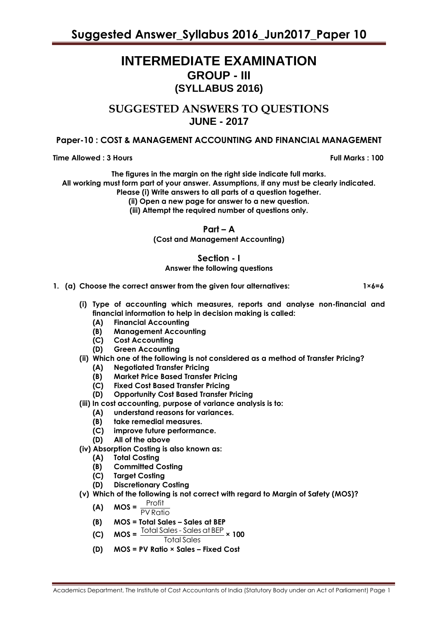# **INTERMEDIATE EXAMINATION GROUP - III (SYLLABUS 2016)**

**SUGGESTED ANSWERS TO QUESTIONS JUNE - 2017**

# **Paper-10 : COST & MANAGEMENT ACCOUNTING AND FINANCIAL MANAGEMENT**

**Time Allowed : 3 Hours Full Marks : 100**

**The figures in the margin on the right side indicate full marks. All working must form part of your answer. Assumptions, if any must be clearly indicated. Please (i) Write answers to all parts of a question together.**

**(ii) Open a new page for answer to a new question.**

**(iii) Attempt the required number of questions only.**

**Part – A**

**(Cost and Management Accounting)**

## **Section - I Answer the following questions**

**1. (a) Choose the correct answer from the given four alternatives: 1×6=6**

- **(i) Type of accounting which measures, reports and analyse non-financial and financial information to help in decision making is called:**
	- **(A) Financial Accounting**
	- **(B) Management Accounting**
	- **(C) Cost Accounting**
	- **(D) Green Accounting**
- **(ii) Which one of the following is not considered as a method of Transfer Pricing?**
	- **(A) Negotiated Transfer Pricing**
	- **(B) Market Price Based Transfer Pricing**
	- **(C) Fixed Cost Based Transfer Pricing**
	- **(D) Opportunity Cost Based Transfer Pricing**
- **(iii) In cost accounting, purpose of variance analysis is to:**
	- **(A) understand reasons for variances.**
	- **(B) take remedial measures.**
	- **(C) improve future performance.**
	- **(D) All of the above**
- **(iv) Absorption Costing is also known as:**
	- **(A) Total Costing**
	- **(B) Committed Costing**
	- **(C) Target Costing**
	- **(D) Discretionary Costing**
- **(v) Which of the following is not correct with regard to Margin of Safety (MOS)?**

$$
(A) \quad MOS = \frac{Profit}{PV Ratio}
$$

- **(B) MOS = Total Sales – Sales at BEP**
- $(C)$  **MOS** =  $\frac{\text{Total Sales Sales at BEP}}{\text{Total States -} \times 100}$ Total Sales
- **(D) MOS = PV Ratio × Sales – Fixed Cost**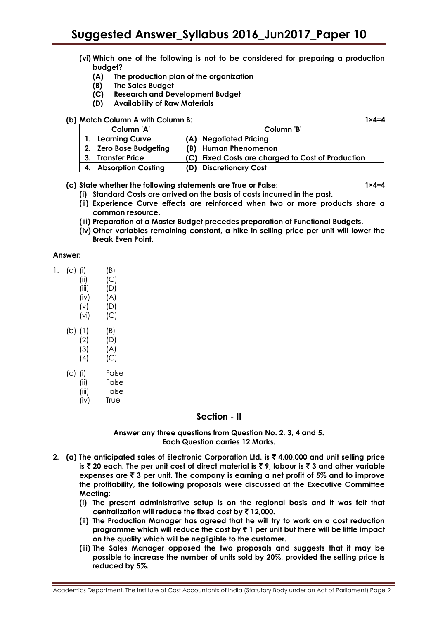# **Suggested Answer\_Syllabus 2016\_Jun2017\_Paper 10**

- **(vi) Which one of the following is not to be considered for preparing a production budget?**
	- **(A) The production plan of the organization**
	- **(B) The Sales Budget**
	- **(C) Research and Development Budget**
	- **(D) Availability of Raw Materials**

# **(b) Match Column A with Column B: 1×4=4**

| Column 'A' |                        | Column 'B'                                        |  |
|------------|------------------------|---------------------------------------------------|--|
|            | 1. Learning Curve      | (A) Negotiated Pricing                            |  |
|            | 2. Zero Base Budgeting | (B) Human Phenomenon                              |  |
|            | 3. Transfer Price      | (C) Fixed Costs are charged to Cost of Production |  |
|            | 4. Absorption Costing  | (D) Discretionary Cost                            |  |

## **(c) State whether the following statements are True or False: 1×4=4**

- **(i) Standard Costs are arrived on the basis of costs incurred in the past.**
- **(ii) Experience Curve effects are reinforced when two or more products share a common resource.**
- **(iii) Preparation of a Master Budget precedes preparation of Functional Budgets.**
- **(iv) Other variables remaining constant, a hike in selling price per unit will lower the Break Even Point.**

#### **Answer:**

| $(a)$ (i) | (B) |
|-----------|-----|
|-----------|-----|

- $(ii)$   $(C)$ (iii) (D)
- $(iv)$   $(A)$
- (v) (D)
- (vi) (C)
- (b) (1) (B)
	- (2) (D)  $(A)$
	- $(4)$   $(C)$
- (c) (i) False
	- (ii) False
		- (iii) False
		- (iv) True

# **Section - II**

**Answer any three questions from Question No. 2, 3, 4 and 5. Each Question carries 12 Marks.**

- **2. (a) The anticipated sales of Electronic Corporation Ltd. is** ` **4,00,000 and unit selling price is** ` **20 each. The per unit cost of direct material is** ` **9, labour is** ` **3 and other variable expenses are** ` **3 per unit. The company is earning a net profit of 5% and to improve the profitability, the following proposals were discussed at the Executive Committee Meeting:**
	- **(i) The present administrative setup is on the regional basis and it was felt that centralization will reduce the fixed cost by** ` **12,000.**
	- **(ii) The Production Manager has agreed that he will try to work on a cost reduction programme which will reduce the cost by** ` **1 per unit but there will be little impact on the quality which will be negligible to the customer.**
	- **(iii) The Sales Manager opposed the two proposals and suggests that it may be possible to increase the number of units sold by 20%, provided the selling price is reduced by 5%.**

Academics Department, The Institute of Cost Accountants of India (Statutory Body under an Act of Parliament) Page 2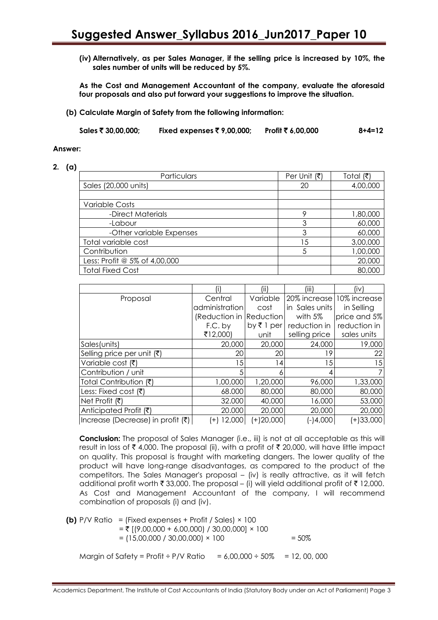**(iv) Alternatively, as per Sales Manager, if the selling price is increased by 10%, the sales number of units will be reduced by 5%.**

**As the Cost and Management Accountant of the company, evaluate the aforesaid four proposals and also put forward your suggestions to improve the situation.**

**(b) Calculate Margin of Safety from the following information:**

**Sales** ` **30,00,000; Fixed expenses** ` **9,00,000; Profit** ` **6,00,000 8+4=12**

#### **Answer:**

#### **2. (a)**

| Particulars                   | Per Unit $(\bar{\tau})$ | Total (₹) |
|-------------------------------|-------------------------|-----------|
| Sales (20,000 units)          | 20                      | 4,00,000  |
|                               |                         |           |
| <b>Variable Costs</b>         |                         |           |
| -Direct Materials             |                         | 1,80,000  |
| -Labour                       | 3                       | 60,000    |
| -Other variable Expenses      | 3                       | 60,000    |
| Total variable cost           | .5                      | 3,00,000  |
| Contribution                  |                         | 1,00,000  |
| Less: Profit @ 5% of 4,00,000 |                         | 20,000    |
| <b>Total Fixed Cost</b>       |                         | 80,000    |

|                                               |                          | (ii)                       | (iii)          | (iv)         |
|-----------------------------------------------|--------------------------|----------------------------|----------------|--------------|
| Proposal                                      | Central                  | Variable                   | 20% increase   | 10% increase |
|                                               | administration           | cost                       | in Sales units | in Selling   |
|                                               | (Reduction in Reduction) |                            | with 5%        | price and 5% |
|                                               | F.C. by                  | by $\overline{\tau}$ 1 per | reduction in   | reduction in |
|                                               | ₹12,000)                 | unit                       | selling price  | sales units  |
| Sales (units)                                 | 20,000                   | 20,000                     | 24,000         | 19,000       |
| Selling price per unit (₹)                    | 20                       | 20                         | 19             | 22           |
| Variable cost (₹)                             | 15                       | 14                         | 15             | 15           |
| Contribution / unit                           |                          |                            |                |              |
| Total Contribution (そ)                        | 1,00,000                 | 1,20,000                   | 96,000         | 1,33,000     |
| Less: Fixed cost $(\bar{\tau})$               | 68.000                   | 80,000                     | 80,000         | 80,000       |
| Net Profit (₹)                                | 32.000                   | 40,000                     | 16,000         | 53,000       |
| Anticipated Profit (₹)                        | 20.000                   | 20,000                     | 20,000         | 20,000       |
| Increase (Decrease) in profit $(\bar{\zeta})$ | 12,000<br>$\pm$          | $(+)20,000$                | $-14,000$      | $(+)33,000$  |

**Conclusion:** The proposal of Sales Manager (i.e., iii) is not at all acceptable as this will result in loss of  $\bar{\tau}$  4,000. The proposal (ii), with a profit of  $\bar{\tau}$  20,000, will have little impact on quality. This proposal is fraught with marketing dangers. The lower quality of the product will have long-range disadvantages, as compared to the product of the competitors. The Sales Manager's proposal – (iv) is really attractive, as it will fetch additional profit worth  $\bar{\tau}$  33,000. The proposal – (i) will yield additional profit of  $\bar{\tau}$  12,000. As Cost and Management Accountant of the company, I will recommend combination of proposals (i) and (iv).

**(b)** P/V Ratio = (Fixed expenses + Profit / Sales) × 100  $= ₹$  [(9,00,000 + 6,00,000) / 30,00,000] × 100  $= (15,00,000 / 30,00,000) \times 100$  = 50% Margin of Safety = Profit ÷ P/V Ratio =  $6.00,000 \div 50\% = 12,00,000$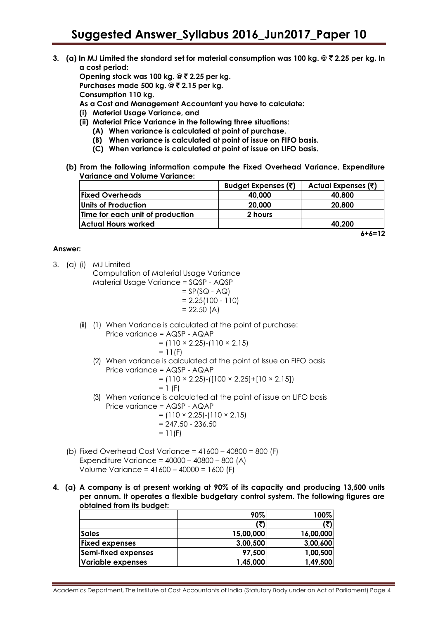**3. (a) In MJ Limited the standard set for material consumption was 100 kg. @** ` **2.25 per kg. In a cost period:**

**Opening stock was 100 kg. @ ₹ 2.25 per kg.** 

**Purchases made 500 kg. @ ₹ 2.15 per kg.** 

**Consumption 110 kg.**

- **As a Cost and Management Accountant you have to calculate:**
- **(i) Material Usage Variance, and**
- **(ii) Material Price Variance in the following three situations:**
	- **(A) When variance is calculated at point of purchase.**
	- **(B) When variance is calculated at point of issue on FIFO basis.**
	- **(C) When variance is calculated at point of issue on LIFO basis.**
- **(b) From the following information compute the Fixed Overhead Variance, Expenditure Variance and Volume Variance:**

|                                  | Budget Expenses (₹) | Actual Expenses (₹)  |
|----------------------------------|---------------------|----------------------|
| <b>Fixed Overheads</b>           | 40,000              | 40,800               |
| Units of Production              | 20,000              | 20,800               |
| Time for each unit of production | 2 hours             |                      |
| Actual Hours worked              |                     | 40.200               |
|                                  |                     | $\ddot{\phantom{a}}$ |

## **Answer:**

3. (a) (i) MJ Limited

Computation of Material Usage Variance Material Usage Variance = SQSP - AQSP  $= SP(SQ - AQ)$ 

$$
= 2.25(100 - 110)
$$
  
= 22.50 (A)

- (ii) (1) When Variance is calculated at the point of purchase:
	- Price variance = AQSP AQAP  $= (110 \times 2.25) - (110 \times 2.15)$ 
		- $= 11(F)$
	- (2) When variance is calculated at the point of Issue on FIFO basis Price variance = AQSP - AQAP

$$
= (110 \times 2.25) \cdot ([100 \times 2.25] + [10 \times 2.15])
$$

$$
= 1 (F)
$$

- (3) When variance is calculated at the point of issue on LIFO basis Price variance = AQSP - AQAP
	- $= (110 \times 2.25) (110 \times 2.15)$
	- $= 247.50 236.50$  $= 11(F)$
- (b) Fixed Overhead Cost Variance = 41600 40800 = 800 (F) Expenditure Variance = 40000 – 40800 – 800 (A) Volume Variance = 41600 – 40000 = 1600 (F)
- **4. (a) A company is at present working at 90% of its capacity and producing 13,500 units per annum. It operates a flexible budgetary control system. The following figures are obtained from its budget:**

|                          | 90%       | 100%      |
|--------------------------|-----------|-----------|
|                          | (₹)       | (₹)       |
| <b>Sales</b>             | 15,00,000 | 16,00,000 |
| <b>Fixed expenses</b>    | 3,00,500  | 3,00,600  |
| Semi-fixed expenses      | 97,500    | 1,00,500  |
| <b>Variable expenses</b> | 1,45,000  | 1,49,500  |

**6+6=12**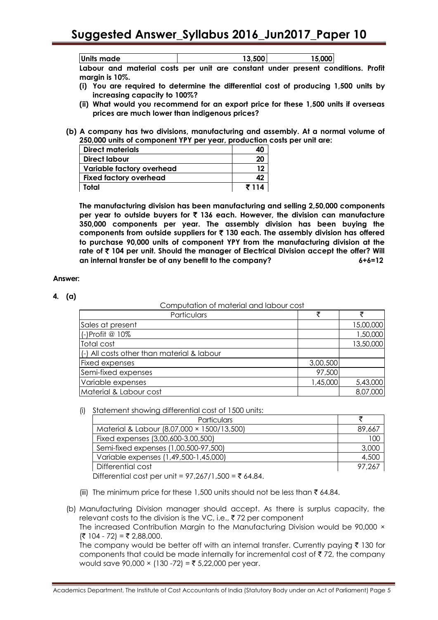**Units made 13,500 15,000 Labour and material costs per unit are constant under present conditions. Profit margin is 10%.**

- **(i) You are required to determine the differential cost of producing 1,500 units by increasing capacity to 100%?**
- **(ii) What would you recommend for an export price for these 1,500 units if overseas prices are much lower than indigenous prices?**
- **(b) A company has two divisions, manufacturing and assembly. At a normal volume of 250,000 units of component YPY per year, production costs per unit are:**

| <b>Direct materials</b>   | 40    |
|---------------------------|-------|
| <b>Direct labour</b>      | 20    |
| Variable factory overhead | 12    |
| Fixed factory overhead    | 42    |
| Total                     | ₹ 114 |

**The manufacturing division has been manufacturing and selling 2,50,000 components per year to outside buyers for** ` **136 each. However, the division can manufacture 350,000 components per year. The assembly division has been buying the components from outside suppliers for** ` **130 each. The assembly division has offered to purchase 90,000 units of component YPY from the manufacturing division at the rate of** ` **104 per unit. Should the manager of Electrical Division accept the offer? Will an internal transfer be of any benefit to the company? 6+6=12**

## **Answer:**

## **4. (a)**

| Computation of material and labour cost    |          |           |  |  |  |
|--------------------------------------------|----------|-----------|--|--|--|
| Particulars                                | ₹        |           |  |  |  |
| Sales at present                           |          | 15,00,000 |  |  |  |
| (-)Profit @ 10%                            |          | 1,50,000  |  |  |  |
| Total cost                                 |          | 13,50,000 |  |  |  |
| (-) All costs other than material & labour |          |           |  |  |  |
| Fixed expenses                             | 3,00,500 |           |  |  |  |
| Semi-fixed expenses                        | 97,500   |           |  |  |  |
| Variable expenses                          | 1,45,000 | 5,43,000  |  |  |  |
| Material & Labour cost                     |          | 8,07,000  |  |  |  |

(i) Statement showing differential cost of 1500 units:

| <b>Particulars</b>                                                                                                                                                            |        |
|-------------------------------------------------------------------------------------------------------------------------------------------------------------------------------|--------|
| Material & Labour (8,07,000 × 1500/13,500)                                                                                                                                    | 89,667 |
| Fixed expenses (3,00,600-3,00,500)                                                                                                                                            | 100    |
| Semi-fixed expenses (1,00,500-97,500)                                                                                                                                         | 3,000  |
| Variable expenses (1,49,500-1,45,000)                                                                                                                                         | 4,500  |
| Differential cost                                                                                                                                                             | 97,267 |
| $D^{\text{eff}}_{\text{total}}$ and $\mu_{\text{total}}$ $\mu_{\text{total}}$ $D^{\text{eff}}_{\text{total}}$ $D^{\text{eff}}_{\text{total}}$ $D^{\text{eff}}_{\text{total}}$ |        |

Differential cost per unit =  $97,267/1,500 = ₹ 64.84$ .

- (iii) The minimum price for these 1,500 units should not be less than  $\bar{\tau}$  64.84.
- (b) Manufacturing Division manager should accept. As there is surplus capacity, the relevant costs to the division is the VC, i.e.,  $\bar{\tau}$  72 per component

The increased Contribution Margin to the Manufacturing Division would be 90,000 ×  $( ₹ 104 - 72) = ₹ 2,88,000.$ 

The company would be better off with an internal transfer. Currently paying  $\bar{\tau}$  130 for components that could be made internally for incremental cost of  $\bar{\tau}$  72, the company would save 90,000 × (130 -72) = ₹ 5,22,000 per year.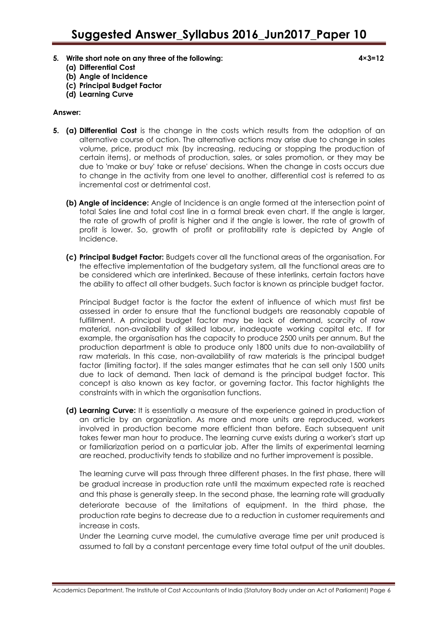- **5. Write short note on any three of the following: 4×3=12**
	- **(a) Differential Cost**
	- **(b) Angle of Incidence**
	- **(c) Principal Budget Factor**
	- **(d) Learning Curve**

# **Answer:**

- **5. (a) Differential Cost** is the change in the costs which results from the adoption of an alternative course of action. The alternative actions may arise due to change in sales volume, price, product mix (by increasing, reducing or stopping the production of certain items), or methods of production, sales, or sales promotion, or they may be due to 'make or buy' take or refuse' decisions. When the change in costs occurs due to change in the activity from one level to another, differential cost is referred to as incremental cost or detrimental cost.
	- **(b) Angle of incidence:** Angle of Incidence is an angle formed at the intersection point of total Sales line and total cost line in a formal break even chart. If the angle is larger, the rate of growth of profit is higher and if the angle is lower, the rate of growth of profit is lower. So, growth of profit or profitability rate is depicted by Angle of Incidence.
	- **(c) Principal Budget Factor:** Budgets cover all the functional areas of the organisation. For the effective implementation of the budgetary system, all the functional areas are to be considered which are interlinked. Because of these interlinks, certain factors have the ability to affect all other budgets. Such factor is known as principle budget factor.

Principal Budget factor is the factor the extent of influence of which must first be assessed in order to ensure that the functional budgets are reasonably capable of fulfillment. A principal budget factor may be lack of demand, scarcity of raw material, non-availability of skilled labour, inadequate working capital etc. If for example, the organisation has the capacity to produce 2500 units per annum. But the production department is able to produce only 1800 units due to non-availability of raw materials. In this case, non-availability of raw materials is the principal budget factor (limiting factor). If the sales manger estimates that he can sell only 1500 units due to lack of demand. Then lack of demand is the principal budget factor. This concept is also known as key factor, or governing factor. This factor highlights the constraints with in which the organisation functions.

**(d) Learning Curve:** It is essentially a measure of the experience gained in production of an article by an organization. As more and more units are reproduced, workers involved in production become more efficient than before. Each subsequent unit takes fewer man hour to produce. The learning curve exists during a worker's start up or familiarization period on a particular job. After the limits of experimental learning are reached, productivity tends to stabilize and no further improvement is possible.

The learning curve will pass through three different phases. In the first phase, there will be gradual increase in production rate until the maximum expected rate is reached and this phase is generally steep. In the second phase, the learning rate will gradually deteriorate because of the limitations of equipment. In the third phase, the production rate begins to decrease due to a reduction in customer requirements and increase in costs.

Under the Learning curve model, the cumulative average time per unit produced is assumed to fall by a constant percentage every time total output of the unit doubles.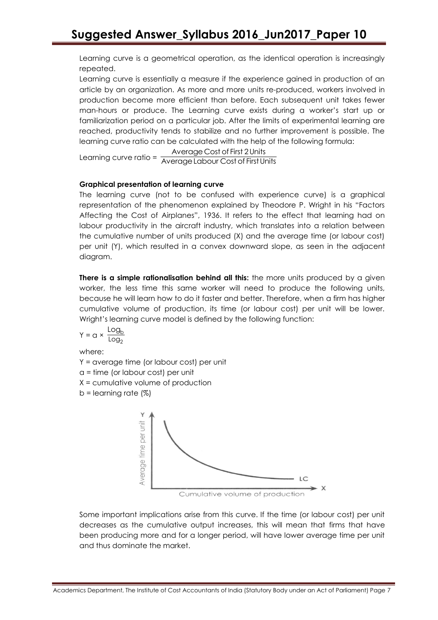Learning curve is a geometrical operation, as the identical operation is increasingly repeated.

Learning curve is essentially a measure if the experience gained in production of an article by an organization. As more and more units re-produced, workers involved in production become more efficient than before. Each subsequent unit takes fewer man-hours or produce. The Learning curve exists during a worker's start up or familiarization period on a particular job. After the limits of experimental learning are reached, productivity tends to stabilize and no further improvement is possible. The learning curve ratio can be calculated with the help of the following formula:

Average Cost of First 2 Units

Learning curve ratio = Average Labour Cost of First Units

# **Graphical presentation of learning curve**

The learning curve (not to be confused with experience curve) is a graphical representation of the phenomenon explained by Theodore P. Wright in his "Factors Affecting the Cost of Airplanes", 1936. It refers to the effect that learning had on labour productivity in the aircraft industry, which translates into a relation between the cumulative number of units produced (X) and the average time (or labour cost) per unit (Y), which resulted in a convex downward slope, as seen in the adjacent diagram.

**There is a simple rationalisation behind all this:** the more units produced by a given worker, the less time this same worker will need to produce the following units, because he will learn how to do it faster and better. Therefore, when a firm has higher cumulative volume of production, its time (or labour cost) per unit will be lower. Wright's learning curve model is defined by the following function:

$$
Y = \alpha \times \frac{\text{Log}_b}{\text{Log}_2}
$$

where:

Y = average time (or labour cost) per unit

a = time (or labour cost) per unit

X = cumulative volume of production

 $b =$  learning rate  $(\%)$ 



Cumulative volume of production

Some important implications arise from this curve. If the time (or labour cost) per unit decreases as the cumulative output increases, this will mean that firms that have been producing more and for a longer period, will have lower average time per unit and thus dominate the market.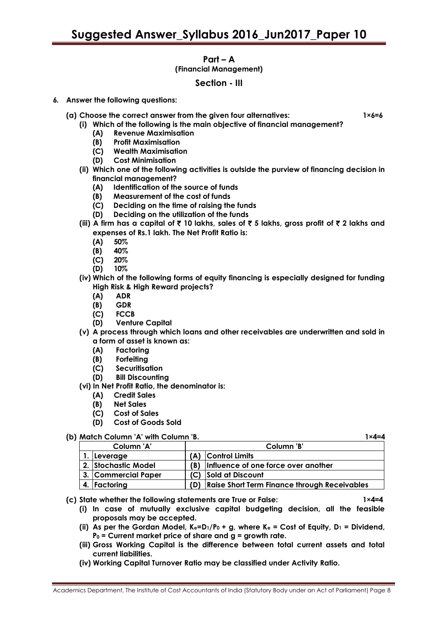# **Part – A**

# **(Financial Management)**

# **Section - III**

- **6. Answer the following questions:** 
	- **(a) Choose the correct answer from the given four alternatives: 1×6=6**

- **(i) Which of the following is the main objective of financial management?**
	- **(A) Revenue Maximisation**
	- **(B) Profit Maximisation**
	- **(C) Wealth Maximisation**
	- **(D) Cost Minimisation**
- **(ii) Which one of the following activities is outside the purview of financing decision in financial management?**
	- **(A) Identification of the source of funds**
	- **(B) Measurement of the cost of funds**
	- **(C) Deciding on the time of raising the funds**
	- **(D) Deciding on the utilization of the funds**
- **(iii) A firm has a capital of** ` **10 lakhs, sales of** ` **5 lakhs, gross profit of** ` **2 lakhs and expenses of Rs.1 lakh. The Net Profit Ratio is:**
	- **(A) 50%**
	- **(B) 40%**
	- **(C) 20%**
	- **(D) 10%**
- **(iv) Which of the following forms of equity financing is especially designed for funding High Risk & High Reward projects?**
	- **(A) ADR**
	- **(B) GDR**
	- **(C) FCCB**
	- **(D) Venture Capital**
- **(v) A process through which loans and other receivables are underwritten and sold in a form of asset is known as:**
	- **(A) Factoring**
	- **(B) Forfeiting**
	- **(C) Securitisation**
	- **(D) Bill Discounting**
- **(vi) In Net Profit Ratio, the denominator is:**
	- **(A) Credit Sales**
	- **(B) Net Sales**
	- **(C) Cost of Sales**
	- **(D) Cost of Goods Sold**

# **(b) Match Column 'A' with Column 'B. 1×4=4**

| Column 'A'          |     | Column 'B'                                          |  |  |
|---------------------|-----|-----------------------------------------------------|--|--|
| 1. Leverage         |     | (A) Control Limits                                  |  |  |
| 2. Stochastic Model |     | (B) Influence of one force over another             |  |  |
| 3. Commercial Paper |     | (C) Sold at Discount                                |  |  |
| 4. Factoring        | (D) | <b>Raise Short Term Finance through Receivables</b> |  |  |

- **(c) State whether the following statements are True or False: 1×4=4**
	- **(i) In case of mutually exclusive capital budgeting decision, all the feasible proposals may be accepted.**
	- **(ii) As per the Gordan Model, Ke=D1/P<sup>0</sup> + g, where K<sup>e</sup> = Cost of Equity, D<sup>1</sup> = Dividend, P<sup>0</sup> = Current market price of share and g = growth rate.**
	- **(iii) Gross Working Capital is the difference between total current assets and total current liabilities.**
	- **(iv) Working Capital Turnover Ratio may be classified under Activity Ratio.**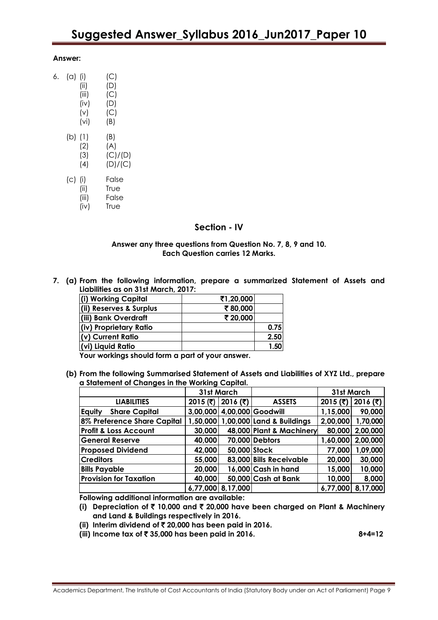#### **Answer:**

 $6.$ 

| (a) (i) |          | (C)     |
|---------|----------|---------|
|         | (ii)     | (D)     |
|         | (iii)    | (C)     |
|         | (iv)     | (D)     |
|         | (v)      | (C)     |
|         | (vi)     | (B)     |
| (b) (1) |          | (B)     |
|         | (2)      | (A)     |
|         | (3)      | (C)/(D) |
|         | (4)      | (D)/(C) |
| (c) (i) |          | False   |
|         | (ii)     | True    |
|         | (iii)    | False   |
|         | $\cdots$ | т.,     |

(iv) True

# **Section - IV**

#### **Answer any three questions from Question No. 7, 8, 9 and 10. Each Question carries 12 Marks.**

**7. (a) From the following information, prepare a summarized Statement of Assets and Liabilities as on 31st March, 2017:**

| (i) Working Capital     | ₹1,20,000 |      |
|-------------------------|-----------|------|
| (ii) Reserves & Surplus | ₹80,000   |      |
| (iii) Bank Overdraft    | ₹ 20,000  |      |
| (iv) Proprietary Ratio  |           | 0.75 |
| (v) Current Ratio       |           | 2.50 |
| (vi) Liquid Ratio       |           | 1.50 |

**Your workings should form a part of your answer.**

**(b) From the following Summarised Statement of Assets and Liabilities of XYZ Ltd., prepare a Statement of Changes in the Working Capital.**

|                                  | 31st March |                     |                                    | 31st March |          |
|----------------------------------|------------|---------------------|------------------------------------|------------|----------|
| <b>LIABILITIES</b>               |            | 2015 (₹)   2016 (₹) | <b>ASSETS</b>                      | 2015 (₹)   | 2016 (₹) |
| <b>Share Capital</b><br>Equity   |            |                     | 3,00,000 4,00,000 Goodwill         | 1,15,000   | 90,000   |
| 8% Preference Share Capital      |            |                     | 1,50,000 1,00,000 Land & Buildings | 2,00,000   | 1,70,000 |
| <b>Profit &amp; Loss Account</b> | 30,000     |                     | 48,000 Plant & Machinery           | 80,000     | 2,00,000 |
| <b>General Reserve</b>           | 40,000     |                     | 70,000 Debtors                     | 1,60,000   | 2,00,000 |
| <b>Proposed Dividend</b>         | 42,000     | 50,000 Stock        |                                    | 77,000     | 1,09,000 |
| <b>Creditors</b>                 | 55,000     |                     | 83,000 Bills Receivable            | 20,000     | 30,000   |
| <b>Bills Payable</b>             | 20,000     |                     | 16,000 Cash in hand                | 15,000     | 10,000   |
| <b>Provision for Taxation</b>    | 40,000     |                     | 50,000 Cash at Bank                | 10,000     | 8,000    |
|                                  |            | 6,77,000 8,17,000   |                                    | 6,77,000   | 8,17,000 |

**Following additional information are available:**

**(i) Depreciation of** ` **10,000 and** ` **20,000 have been charged on Plant & Machinery and Land & Buildings respectively in 2016.**

- **(ii) Interim dividend of** ` **20,000 has been paid in 2016.**
- **(iii) Income tax of** ` **35,000 has been paid in 2016. 8+4=12**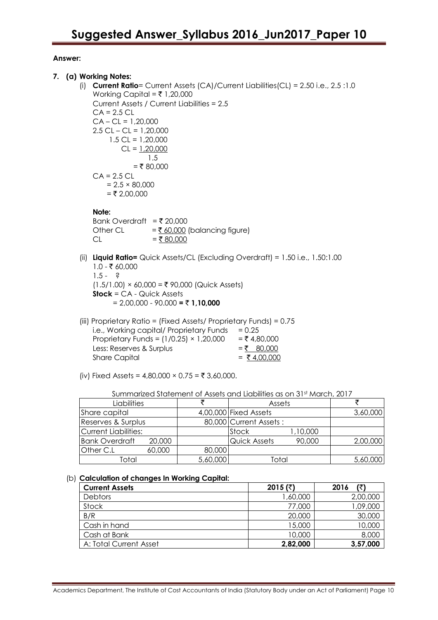# **Answer:**

- **7. (a) Working Notes:**
	- (i) **Current Ratio**= Current Assets (CA)/Current Liabilities(CL) = 2.50 i.e., 2.5 :1.0 Working Capital =  $\overline{5}$  1,20,000 Current Assets / Current Liabilities = 2.5  $CA = 2.5 CL$  $CA - CL = 1,20,000$  $2.5$  CL – CL = 1,20,000 1.5 CL = 1,20,000  $CL = 1,20,000$  1.5  $=$  ₹ 80,000  $CA = 2.5 CL$  $= 2.5 \times 80,000$  $= ₹ 2,00,000$

# **Note:**

Bank Overdraft =  $\overline{\tau}$  20,000 Other CL  $=\frac{760,000}{6}$  (balancing figure)  $CL = ₹ 80,000$ 

- (ii) **Liquid Ratio=** Quick Assets/CL (Excluding Overdraft) = 1.50 i.e., 1.50:1.00  $1.0 - ₹ 60,000$  $1.5 - ?$  $(1.5/1.00)$  × 60,000 = ₹ 90,000 (Quick Assets) **Stock** = CA - Quick Assets  $= 2,00,000 - 90,000 = ₹ 1,10,000$
- (iii) Proprietary Ratio = (Fixed Assets/ Proprietary Funds) = 0.75 i.e., Working capital/ Proprietary Funds  $= 0.25$ Proprietary Funds =  $(1/0.25) \times 1,20,000 = ₹ 4,80,000$ Less: Reserves & Surplus  $=$   $\frac{80,000}{5}$ Share Capital  $= ₹4,00,000$
- (iv) Fixed Assets =  $4,80,000 \times 0.75 = ₹ 3,60,000$ .

| Liabilities          |        |          | Assets                 |          |          |
|----------------------|--------|----------|------------------------|----------|----------|
| Share capital        |        |          | 4,00,000 Fixed Assets  |          | 3,60,000 |
| Reserves & Surplus   |        |          | 80,000 Current Assets: |          |          |
| Current Liabilities: |        |          | Stock                  | 1,10,000 |          |
| Bank Overdraft       | 20,000 |          | Quick Assets           | 90,000   | 2,00,000 |
| <b>Other C.L</b>     | 60,000 | 80,000   |                        |          |          |
| Total                |        | 5,60,000 | Total                  |          | 5,60,000 |

## (b) **Calculation of changes In Working Capital:**

| <b>Current Assets</b>  | 2015 (₹) | (₹<br>2016 |
|------------------------|----------|------------|
| <b>Debtors</b>         | 000,06,1 | 2,00,000   |
| Stock                  | 77,000   | 09,000     |
| B/R                    | 20,000   | 30,000     |
| Cash in hand           | 15,000   | 10,000     |
| Cash at Bank           | 10,000   | 8,000      |
| A: Total Current Asset | 2,82,000 | 3,57,000   |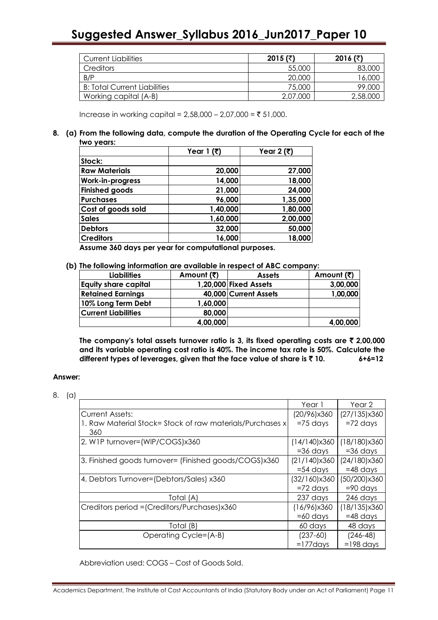# **Suggested Answer\_Syllabus 2016\_Jun2017\_Paper 10**

| <b>Current Liabilities</b>          | 2015 (₹) | 2016 (₹) |
|-------------------------------------|----------|----------|
| <b>Creditors</b>                    | 55,000   | 83,000   |
| B/P                                 | 20,000   | 16,000   |
| <b>B: Total Current Liabilities</b> | 75,000   | 99,000   |
| Working capital (A-B)               | 2,07,000 | 2,58,000 |

Increase in working capital =  $2,58,000 - 2,07,000 = ₹ 51,000$ .

## **8. (a) From the following data, compute the duration of the Operating Cycle for each of the two years:**

|                       | Year 1 $(3)$ | Year 2 (₹) |
|-----------------------|--------------|------------|
| Stock:                |              |            |
| <b>Raw Materials</b>  | 20,000       | 27,000     |
| Work-in-progress      | 14,000       | 18,000     |
| <b>Finished goods</b> | 21,000       | 24,000     |
| <b>Purchases</b>      | 96,000       | 1,35,000   |
| Cost of goods sold    | 1,40,000     | 1,80,000   |
| <b>Sales</b>          | 1,60,000     | 2,00,000   |
| <b>Debtors</b>        | 32,000       | 50,000     |
| <b>Creditors</b>      | 16,000       | 18,000     |

**Assume 360 days per year for computational purposes.**

#### **(b) The following information are available in respect of ABC company:**

| <b>Liabilities</b>          | Amount (₹) | <b>Assets</b>         | Amount (₹) |
|-----------------------------|------------|-----------------------|------------|
| <b>Equity share capital</b> |            | 1,20,000 Fixed Assets | 3,00,000   |
| <b>Retained Earnings</b>    |            | 40,000 Current Assets | 1,00,000   |
| 10% Long Term Debt          | 1,60,000   |                       |            |
| <b>Current Liabilities</b>  | 80,000     |                       |            |
|                             | 4,00,000   |                       | 4,00,000   |

**The company's total assets turnover ratio is 3, its fixed operating costs are** ` **2,00,000 and its variable operating cost ratio is 40%. The income tax rate is 50%. Calculate the different types of leverages, given that the face value of share is** ` **10. 6+6=12**

# **Answer:**

<sup>8.</sup> (a)

|                                                           | Year 1       | Year 2                |
|-----------------------------------------------------------|--------------|-----------------------|
| <b>Current Assets:</b>                                    | (20/96)x360  | $(27/135) \times 360$ |
| 1. Raw Material Stock= Stock of raw materials/Purchases x | $=75$ days   | $=72$ days            |
| 360                                                       |              |                       |
| 2. W1P turnover=(WIP/COGS)x360                            | (14/140)x360 | $(18/180) \times 360$ |
|                                                           | $=36$ days   | $=36$ days            |
| 3. Finished goods furnover= (Finished goods/COGS)x360     | (21/140)x360 | (24/180) x 360        |
|                                                           | $=$ 54 days  | $=48$ days            |
| 4. Debtors Turnover=(Debtors/Sales) x360                  | (32/160)x360 | (50/200)x360          |
|                                                           | $=72$ days   | $= 90$ days           |
| Total (A)                                                 | 237 days     | 246 days              |
| Creditors period = (Creditors/Purchases)x360              | (16/96)x360  | $(18/135) \times 360$ |
|                                                           | $=60$ days   | $=48$ days            |
| Total (B)                                                 | 60 days      | 48 days               |
| Operating Cycle=(A-B)                                     | $(237-60)$   | $(246 - 48)$          |
|                                                           | $=177$ days  | $=198$ days           |

Abbreviation used: COGS – Cost of Goods Sold.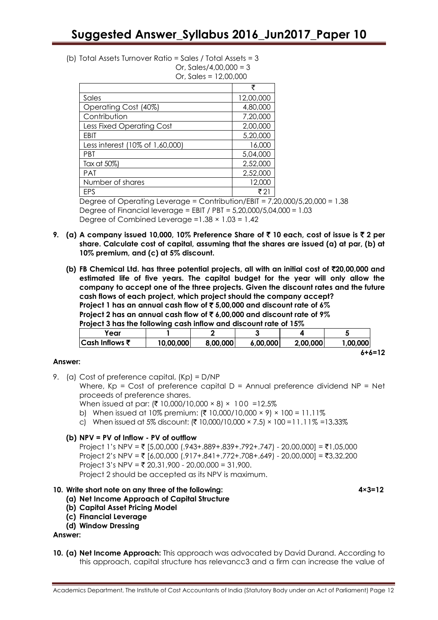(b) Total Assets Turnover Ratio = Sales / Total Assets = 3 Or, Sales/4,00,000 =  $3$ 

Or, Sales = 12,00,000

|                                  | ₹         |
|----------------------------------|-----------|
| Sales                            | 12,00,000 |
| Operating Cost (40%)             | 4,80,000  |
| Contribution                     | 7,20,000  |
| <b>Less Fixed Operating Cost</b> | 2,00,000  |
| EBIT                             | 5,20,000  |
| Less interest (10% of 1,60,000)  | 16,000    |
| <b>PBT</b>                       | 5,04,000  |
| Tax at 50%)                      | 2,52,000  |
| <b>PAT</b>                       | 2,52,000  |
| Number of shares                 | 12,000    |
| FPS                              | ₹ 21      |

Degree of Operating Leverage = Contribution/EBIT = 7,20,000/5,20,000 = 1.38 Degree of Financial leverage = EBIT / PBT = 5,20,000/5,04,000 = 1.03 Degree of Combined Leverage =  $1.38 \times 1.03 = 1.42$ 

- **9. (a) A company issued 10,000, 10% Preference Share of** ` **10 each, cost of issue is** ` **2 per share. Calculate cost of capital, assuming that the shares are issued (a) at par, (b) at 10% premium, and (c) at 5% discount.**
	- **(b) FB Chemical Ltd. has three potential projects, all with an initial cost of** `**20,00,000 and estimated life of five years. The capital budget for the year will only allow the company to accept one of the three projects. Given the discount rates and the future cash flows of each project, which project should the company accept? Project 1 has an annual cash flow of** ` **5,00,000 and discount rate of 6% Project 2 has an annual cash flow of** ` **6,00,000 and discount rate of 9% Project 3 has the following cash inflow and discount rate of 15%**

| Year              |           |          |          |          |          |
|-------------------|-----------|----------|----------|----------|----------|
| $ Cash Inflows$ ₹ | 10,00,000 | 8,00,000 | 6,00,000 | 2,00,000 | 1,00,000 |
|                   |           |          |          |          | 6+6=12   |

# **Answer:**

9. (a) Cost of preference capital, (Kp) = D/NP

Where,  $Kp = Cost$  of preference capital  $D =$  Annual preference dividend  $NP = Net$ proceeds of preference shares.

When issued at par: (₹ 10,000/10,000 × 8) × 100 =12.5%

- b) When issued at 10% premium:  $(\bar{\tau} 10,000/10,000 \times 9) \times 100 = 11.11\%$
- c) When issued at 5% discount: (₹ 10,000/10,000 × 7.5) × 100 = 11.11% =13.33%

# **(b) NPV = PV of Inflow - PV of outflow**

Project 1's NPV = ₹ [5,00,000 (.943+.889+.839+.792+.747) - 20,00,000] = ₹1,05,000 Project 2's NPV = ₹ [6,00,000 (.917+.841+.772+.708+.649) - 20,00,000] = ₹3,32,200 Project 3's NPV = ₹ 20,31,900 - 20,00,000 = 31,900. Project 2 should be accepted as its NPV is maximum.

# **10. Write short note on any three of the following: 4×3=12**

- **(a) Net Income Approach of Capital Structure**
- **(b) Capital Asset Pricing Model**
- **(c) Financial Leverage**
- **(d) Window Dressing**

## **Answer:**

**10. (a) Net Income Approach:** This approach was advocated by David Durand. According to this approach, capital structure has relevancc3 and a firm can increase the value of